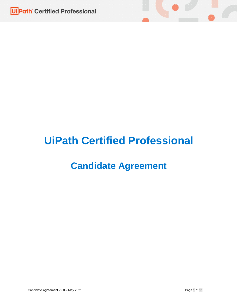

# **UiPath Certified Professional**

## **Candidate Agreement**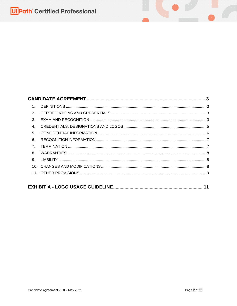| $\mathbf 1$    |  |  |  |
|----------------|--|--|--|
| $\mathcal{P}$  |  |  |  |
| 3.             |  |  |  |
| $\mathbf{4}$   |  |  |  |
| 5.             |  |  |  |
| 6.             |  |  |  |
| $\overline{7}$ |  |  |  |
| 8.             |  |  |  |
| 9              |  |  |  |
|                |  |  |  |
|                |  |  |  |
|                |  |  |  |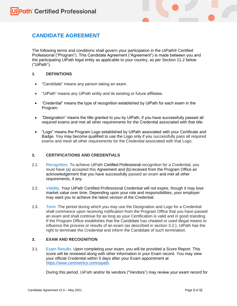### <span id="page-2-0"></span>**CANDIDATE AGREEMENT**

The following terms and conditions shall govern your participation in the UiPath® Certified Professional ("Program"). This Candidate Agreement ("Agreement") is made between you and the participating UiPath legal entity as applicable to your country, as per Section 11.2 below ("UiPath").

#### <span id="page-2-1"></span>**1. DEFINITIONS**

- "Candidate" means any person taking an exam.
- "UiPath" means any UiPath entity and its existing or future affiliates.
- "Credential" means the type of recognition established by UiPath for each exam in the Program.
- "Designation" means the title granted to you by UiPath, if you have successfully passed all required exams and met all other requirements for the Credential associated with that title.
- "Logo" means the Program Logo established by UiPath associated with your Certificate and Badge. You may become qualified to use the Logo only if you successfully pass all required exams and meet all other requirements for the Credential associated with that Logo.

#### <span id="page-2-2"></span>**2. CERTIFICATIONS AND CREDENTIALS**

- 2.1. Recognition. To achieve UiPath Certified Professional recognition for a Credential, you must have (a) accepted this Agreement and (b) received from the Program Office an acknowledgement that you have successfully passed an exam and met all other requirements, if any.
- 2.2. Validity. Your UiPath Certified Professional Credential will not expire, though it may lose market value over time. Depending upon your role and responsibilities, your employer may want you to achieve the latest version of the Credential.
- 2.3. Term. The period during which you may use the Designation and Logo for a Credential shall commence upon receiving notification from the Program Office that you have passed an exam and shall continue for as long as your Certification is valid and in good standing. If the Program Office establishes that the Candidate has cheated or used illegal means to influence the process or results of an exam (as described in section 3.2.), UiPath has the right to terminate the Credential and inform the Candidate of such termination.

#### <span id="page-2-3"></span>**3. EXAM AND RECOGNITION**

3.1. Exam Results. Upon completing your exam, you will be provided a Score Report. This score will be reviewed along with other information in your Exam record. You may view your official Credential within 5 days after your Exam appointment at [https://www.certmetrics.com/uipath.](https://www.certmetrics.com/uipath)

During this period, UiPath and/or its vendors ("Vendors") may review your exam record for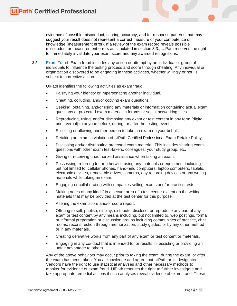evidence of possible misconduct, scoring accuracy, and for response patterns that may suggest your result does not represent a correct measure of your competence or knowledge (measurement error). If a review of the exam record reveals possible misconduct or measurement errors as stipulated in section 3.3., UiPath reserves the right to immediately invalidate your exam score and any awarded recognitions.

3.2. Exam Fraud. Exam fraud includes any action or attempt by an individual or group of individuals to influence the testing process and score through cheating. Any individual or organization discovered to be engaging in these activities, whether willingly or not, is subject to corrective action.

UiPath identifies the following activities as exam fraud:

- Falsifying your identity or impersonating another individual.
- Cheating, colluding, and/or copying exam questions.
- Seeking, obtaining, and/or using any materials or information containing actual exam questions or protected exam material in forums or social networking sites.
- Reproducing, using, and/or disclosing any exam or test content in any form (digital, print, verbal) to anyone before, during, or after the testing event.
- Soliciting or allowing another person to take an exam on your behalf.
- Retaking an exam in violation of UiPath Certified Professional Exam Retake Policy.
- Disclosing and/or distributing protected exam material. This includes sharing exam questions with other exam test-takers, colleagues, your study group, etc.
- Giving or receiving unauthorized assistance when taking an exam.
- Possessing, referring to, or otherwise using any materials or equipment including, but not limited to, cellular phones, hand-held computers, laptop computers, tablets, electronic devices, removable drives, cameras, any recording devices or any writing materials while taking an exam.
- Engaging or collaborating with companies selling exams and/or practice tests.
- Making notes of any kind if in a secure area of a test center except on the writing materials that may be provided at the test center for this purpose.
- Altering the exam score and/or score report.
- Offering to sell, publish, display, distribute, disclose, or reproduce any part of any exam or test content by any means including, but not limited to, web postings, formal or informal preparation or discussion groups including communities of practice, chat rooms, reconstruction through memorization, study guides, or by any other method or in any materials.
- Creating derivative works from any part of any exam or test content or materials.
- Engaging in any conduct that is intended to, or results in, assisting or providing an unfair advantage to others.

Any of the above behaviors may occur prior to taking the exam, during the exam, or after the exam has been taken. You acknowledge and agree that UiPath or its designated Vendors have the right to use statistical analyses and other necessary methods to monitor for evidence of exam fraud. UiPath reserves the right to further investigate and take appropriate remedial actions if such analyses reveal evidence of exam fraud. These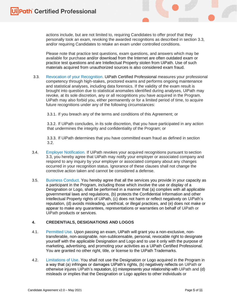actions include, but are not limited to, requiring Candidates to offer proof that they personally took an exam, revoking the awarded recognitions as described in section 3.3, and/or requiring Candidates to retake an exam under controlled conditions.

Please note that practice test questions, exam questions, and answers which may be available for purchase and/or download from the Internet are often outdated exam or practice test questions and are Intellectual Property stolen from UiPath. Use of such materials acquired from unauthorized sources is also considered exam fraud.

3.3. Revocation of your Recognition. UiPath Certified Professional measures your professional competency through high-stakes, proctored exams and performs ongoing maintenance and statistical analyses, including data forensics. If the validity of the exam result is brought into question due to statistical anomalies identified during analyses, UiPath may revoke, at its sole discretion, any or all recognitions you have acquired in the Program. UiPath may also forbid you, either permanently or for a limited period of time, to acquire future recognitions under any of the following circumstances:

3.3.1. If you breach any of the terms and conditions of this Agreement; or

3.3.2. If UiPath concludes, in its sole discretion, that you have participated in any action that undermines the integrity and confidentiality of the Program; or

3.3.3. If UiPath determines that you have committed exam fraud as defined in section 3.2.

- 3.4. Employer Notification. If UiPath revokes your acquired recognitions pursuant to section 3.3, you hereby agree that UiPath may notify your employer or associated company and respond to any inquiry by your employer or associated company about any changes occurred in your recognition status. Ignorance of these clauses shall not change the corrective action taken and cannot be considered a defense.
- 3.5. Business Conduct. You hereby agree that all the services you provide in your capacity as a participant in the Program, including those which involve the use or display of a Designation or Logo, shall be performed in a manner that (a) complies with all applicable governmental laws and regulations, (b) protects the Confidential Information and other Intellectual Property rights of UiPath, (c) does not harm or reflect negatively on UiPath's reputation, (d) avoids misleading, unethical, or illegal practices, and (e) does not make or appear to make any guarantees, representations or warranties on behalf of UiPath or UiPath products or services.

#### <span id="page-4-0"></span>**4. CREDENTIALS, DESIGNATIONS AND LOGOS**

- 4.1. Permitted Use. Upon passing an exam, UiPath will grant you a non-exclusive, nontransferable, non-assignable, non-sublicensable, personal, revocable right to designate yourself with the applicable Designation and Logo and to use it only with the purpose of marketing, advertising, and promoting your activities as a UiPath Certified Professional. You are granted no other right, title, or license to the UiPath Trademarks.
- 4.2. Limitations of Use. You shall not use the Designation or Logo acquired in the Program in a way that (a) infringes or damages UiPath's rights, (b) negatively reflects on UiPath or otherwise injures UiPath's reputation, (c) misrepresents your relationship with UiPath and (d) misleads or implies that the Designation or Logo applies to other individuals or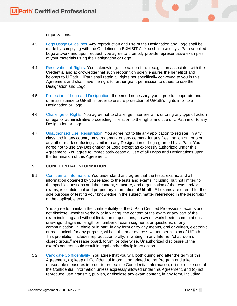

- 4.3. Logo Usage Guidelines. Any reproduction and use of the Designation and Logo shall be made by complying with the Guidelines in EXHIBIT A. You shall use only UiPath supplied Logo artwork and upon request, you agree to promptly provide representative examples of your materials using the Designation or Logo.
- 4.4. Reservation of Rights. You acknowledge the value of the recognition associated with the Credential and acknowledge that such recognition solely ensures the benefit of and belongs to UiPath. UiPath shall retain all rights not specifically conveyed to you in this Agreement and shall have the right to further grant permission to others to use the Designation and Logo.
- 4.5. Protection of Logo and Designation. If deemed necessary, you agree to cooperate and offer assistance to UiPath in order to ensure protection of UiPath's rights in or to a Designation or Logo.
- 4.6. Challenge of Rights. You agree not to challenge, interfere with, or bring any type of action or legal or administrative proceeding in relation to the rights and title of UiPath in or to any Designation or Logo.
- 4.7. Unauthorized Use, Registration. You agree not to file any application to register, in any class and in any country, any trademark or service mark for any Designation or Logo or any other mark confusingly similar to any Designation or Logo granted by UiPath. You agree not to use any Designation or Logo except as expressly authorized under this Agreement. You agree to immediately cease all use of all Logos and Designations upon the termination of this Agreement.

#### <span id="page-5-0"></span>**5. CONFIDENTIAL INFORMATION**

5.1. Confidential Information. You understand and agree that the tests, exams, and all information obtained by you related to the tests and exams including, but not limited to, the specific questions and the content, structure, and organization of the tests and/or exams, is confidential and proprietary information of UiPath. All exams are offered for the sole purpose of testing your knowledge in the subject matter referenced in the description of the applicable exam.

You agree to maintain the confidentiality of the UiPath Certified Professional exams and not disclose, whether verbally or in writing, the content of the exam or any part of the exam including and without limitation to questions, answers, worksheets, computations, drawings, diagrams, length or number of exam segments or questions, or any communication, in whole or in part, in any form or by any means, oral or written, electronic or mechanical, for any purpose, without the prior express written permission of UiPath. This prohibition includes reproduction orally, in writing, in any Internet "chat room or closed group," message board, forum, or otherwise. Unauthorized disclosure of the exam's content could result in legal and/or disciplinary action.

5.2. Candidate Confidentiality. You agree that you will, both during and after the term of this Agreement, (a) keep all Confidential Information related to the Program and take reasonable measures in order to protect the Confidential Information, (b) not make use of the Confidential Information unless expressly allowed under this Agreement, and (c) not reproduce, use, transmit, publish, or disclose any exam content, in any form, including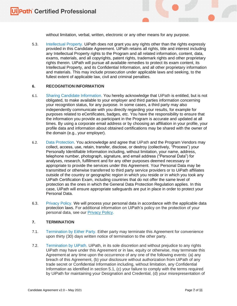without limitation, verbal, written, electronic or any other means for any purpose.

5.3. Intellectual Property. UiPath does not grant you any rights other than the rights expressly provided in this Candidate Agreement. UiPath retains all rights, title and interest including any Intellectual Property rights to the Program and all related information, content, data, exams, materials, and all copyrights, patent rights, trademark rights and other proprietary rights therein. UiPath will pursue all available remedies to protect its exam content, its Intellectual Property, and its Confidential Information, and all other proprietary information and materials. This may include prosecution under applicable laws and seeking, to the fullest extent of applicable law, civil and criminal penalties.

#### <span id="page-6-0"></span>**6. RECOGNITION INFORMATION**

- 6.1. Sharing Candidate Information. You hereby acknowledge that UiPath is entitled, but is not obligated, to make available to your employer and third parties information concerning your recognition status, for any purpose. In some cases, a third party may also independently communicate with you directly regarding your results, for example for purposes related to eCertificates, badges, etc. You have the responsibility to ensure that the information you provide as participant in the Program is accurate and updated at all times. By using a corporate email address or by choosing an affiliation in your profile, your profile data and information about obtained certifications may be shared with the owner of the domain (e.g., your employer).
- 6.2. Data Protection. You acknowledge and agree that UiPath and the Program Vendors may collect, access, use, retain, transfer, disclose, or destroy (collectively, "Process") your Personally Identifiable Information including, without limitation, your name, address, telephone number, photograph, signature, and email address ("Personal Data") for analyses, research, fulfillment and for any other purposes deemed necessary or appropriate to provide the services under this Agreement. Your Personal Data may be transmitted or otherwise transferred to third party service providers or to UiPath affiliates outside of the country or geographic region in which you reside or in which you took any UiPath Certification Exam, including countries that do not offer the same level of protection as the ones in which the General Data Protection Regulation applies. In this case, UiPath will ensure appropriate safeguards are put in place in order to protect your Personal Data.
- 6.3. Privacy Policy. We will process your personal data in accordance with the applicable data protection laws. For additional information on UiPath's policy on the protection of your personal data, see our **Privacy Policy**.

#### <span id="page-6-1"></span>**7. TERMINATION**

- 7.1. Termination by Either Party. Either party may terminate this Agreement for convenience upon thirty (30) days written notice of termination to the other party.
- 7.2. Termination by UiPath. UiPath, in its sole discretion and without prejudice to any rights UiPath may have under this Agreement or in law, equity or otherwise, may terminate this Agreement at any time upon the occurrence of any one of the following events: (a) any breach of this Agreement, (b) your disclosure without authorization from UiPath of any trade secret or Confidential Information including, without limitation, any Confidential Information as identified in section 5.1, (c) your failure to comply with the terms required by UiPath for maintaining your Designation and Credential, (d) your misrepresentation of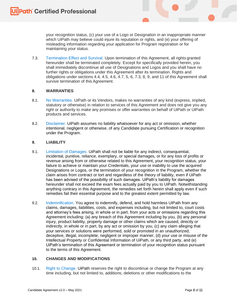your recognition status, (c) your use of a Logo or Designation in an inappropriate manner which UiPath may believe could injure its reputation or rights, and (e) your offering of misleading information regarding your application for Program registration or for maintaining your status.

7.3. Termination Effect and Survival. Upon termination of this Agreement, all rights granted hereunder shall be terminated completely. Except for specifically provided herein, you shall immediately discontinue all use of Designations and Logos and you shall have no further rights or obligations under this Agreement after its termination. Rights and obligations under sections 4.4, 4.5, 4.6, 4.7, 5, 6, 7.3, 8, 9, and 11 of this Agreement shall survive termination of this Agreement.

#### <span id="page-7-0"></span>**8. WARRANTIES**

- 8.1. No Warranties. UiPath or its Vendors, makes no warranties of any kind (express, implied, statutory or otherwise) in relation to services of this Agreement and does not give you any right or authority to make any promises or offer warranties on behalf of UiPath or UiPath products and services.
- 8.2. Disclaimer. UiPath assumes no liability whatsoever for any act or omission, whether intentional, negligent or otherwise, of any Candidate pursuing Certification or recognition under the Program.

#### <span id="page-7-1"></span>**9. LIABILITY**

- 9.1. Limitation of Damages. UiPath shall not be liable for any indirect, consequential, incidental, punitive, reliance, exemplary, or special damages, or for any loss of profits or revenue arising from or otherwise related to this Agreement, your recognition status, your failure to achieve or maintain your Credentials, your use or inability to use the acquired Designations or Logos, or the termination of your recognition in the Program, whether the claim arises from contract or tort and regardless of the theory of liability, even if UiPath has been advised of the possibility of such damages. UiPath's liability for damages hereunder shall not exceed the exam fees actually paid by you to UiPath. Notwithstanding anything contrary in this Agreement, the remedies set forth herein shall apply even if such remedies fail their essential purpose and to the greatest extent permitted by law.
- 9.2. Indemnification. You agree to indemnify, defend, and hold harmless UiPath from any claims, damages, liabilities, costs, and expenses including, but not limited to, court costs and attorney's fees arising, in whole or in part, from your acts or omissions regarding this Agreement including: (a) any breach of this Agreement including by you, (b) any personal injury, product liability, property damage or other claims which are caused, directly or indirectly, in whole or in part, by any act or omission by you, (c) any claim alleging that your services or solutions were performed, sold or promoted in an unauthorized, deceptive, illegal, incomplete, negligent or improper manner, (d) your use or misuse of the Intellectual Property or Confidential Information of UiPath, or any third party, and (e) UiPath's termination of this Agreement or termination of your recognition status pursuant to the terms of this Agreement.

#### <span id="page-7-2"></span>**10. CHANGES AND MODIFICATIONS**

10.1. Right to Change. UiPath reserves the right to discontinue or change the Program at any time including, but not limited to, additions, deletions or other modifications to the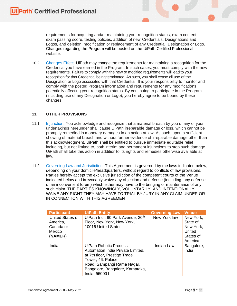requirements for acquiring and/or maintaining your recognition status, exam content, exam passing score, testing policies, addition of new Credentials, Designations and Logos, and deletion, modification or replacement of any Credential, Designation or Logo. Changes regarding the Program will be posted on the UiPath Certified Professional website.

10.2. Changes Effect. UiPath may change the requirements for maintaining a recognition for the Credential you have earned in the Program. In such cases, you must comply with the new requirements. Failure to comply with the new or modified requirements will lead to your recognition for that Credential being terminated. As such, you shall cease all use of the Designation or Logo associated with that Credential. It is your responsibility to monitor and comply with the posted Program information and requirements for any modifications potentially affecting your recognition status. By continuing to participate in the Program (including use of any Designation or Logo), you hereby agree to be bound by these changes.

#### <span id="page-8-0"></span>**11. OTHER PROVISIONS**

- 11.1. Injunction. You acknowledge and recognize that a material breach by you of any of your undertakings hereunder shall cause UiPath irreparable damage or loss, which cannot be promptly remedied in monetary damages in an action at law. As such, upon a sufficient showing of material breach and without further evidence of irreparable damage other than this acknowledgment, UiPath shall be entitled to pursue immediate equitable relief including, but not limited to, both interim and permanent injunctions to stop such damage. UiPath shall take this action in addition to its rights and remedies otherwise available at law.
- 11.2. Governing Law and Jurisdiction. This Agreement is governed by the laws indicated below, depending on your domicile/headquarters, without regard to conflicts of law provisions. Parties hereby accept the exclusive jurisdiction of the competent courts of the Venue indicated below and irrevocably waive any objection and defense (including, any defense of an inconvenient forum) which either may have to the bringing or maintenance of any such claim. THE PARTIES KNOWINGLY, VOLUNTARILY, AND INTENTIONALLY WAIVE ANY RIGHT THEY MAY HAVE TO TRIAL BY JURY IN ANY CLAIM UNDER OR IN CONNECTION WITH THIS AGREEMENT.

| <b>Participant</b> | <b>UiPath Entity</b>              | <b>Governing Law</b> | <b>Venue</b> |
|--------------------|-----------------------------------|----------------------|--------------|
| United States of   | UiPath Inc., 90 Park Avenue, 20th | New York law         | New York,    |
| America,           | Floor, New York, New York,        |                      | State of     |
| Canada or          | 10016 United States               |                      | New York,    |
| Mexico             |                                   |                      | United       |
| (NAMER)            |                                   |                      | States of    |
|                    |                                   |                      | America      |
| India              | UiPath Robotic Process            | Indian Law           | Bangalore,   |
|                    | Automation India Private Limited, |                      | India        |
|                    | at 7th floor, Prestige Trade      |                      |              |
|                    | Tower, 46, Palace                 |                      |              |
|                    | Road, Sampangi Rama Nagar,        |                      |              |
|                    | Bangalore, Bangalore, Karnataka,  |                      |              |
|                    | India, 560001                     |                      |              |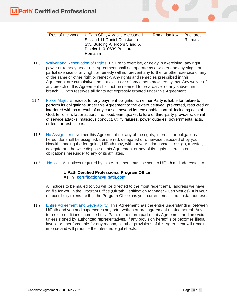| Rest of the world   UiPath SRL, 4 Vasile Alecsandri | Romanian law | Bucharest, I |
|-----------------------------------------------------|--------------|--------------|
| Str. and 11 Daniel Constantin                       |              | Romania      |
| Str., Building A, Floors 5 and 6,                   |              |              |
| District 1, 010639 Bucharest,                       |              |              |
| Romania                                             |              |              |

- 11.3. Waiver and Reservation of Rights. Failure to exercise, or delay in exercising, any right, power or remedy under this Agreement shall not operate as a waiver and any single or partial exercise of any right or remedy will not prevent any further or other exercise of any of the same or other right or remedy. Any rights and remedies prescribed in this Agreement are cumulative and not exclusive of any others provided by law. Any waiver of any breach of this Agreement shall not be deemed to be a waiver of any subsequent breach. UiPath reserves all rights not expressly granted under this Agreement.
- 11.4. Force Majeure. Except for any payment obligations, neither Party is liable for failure to perform its obligations under this Agreement to the extent delayed, prevented, restricted or interfered with as a result of any causes beyond its reasonable control, including acts of God, terrorism, labor action, fire, flood, earthquake, failure of third-party providers, denial of service attacks, malicious conduct, utility failures, power outages, governmental acts, orders, or restrictions.
- 11.5. No Assignment. Neither this Agreement nor any of the rights, interests or obligations hereunder shall be assigned, transferred, delegated or otherwise disposed of by you. Notwithstanding the foregoing, UiPath may, without your prior consent, assign, transfer, delegate or otherwise dispose of this Agreement or any of its rights, interests or obligations hereunder to any of its affiliates.
- 11.6. Notices. All notices required by this Agreement must be sent to UiPath and addressed to:

#### **UiPath Certified Professional Program Office ATTN: [certification@uipath.com](mailto:certification@uipath.com)**

All notices to be mailed to you will be directed to the most recent email address we have on file for you in the Program Office (UiPath Certification Manager - CertMetrics). It is your responsibility to ensure that the Program Office has your current email and postal address.

11.7. Entire Agreement and Severability. This Agreement has the entire understanding between UiPath and you and supersedes any prior written or oral agreement related hereof. Any terms or conditions submitted to UiPath, do not form part of this Agreement and are void, unless signed by authorized representatives. If any provision hereof is or becomes illegal, invalid or unenforceable for any reason, all other provisions of this Agreement will remain in force and will produce the intended legal effects.